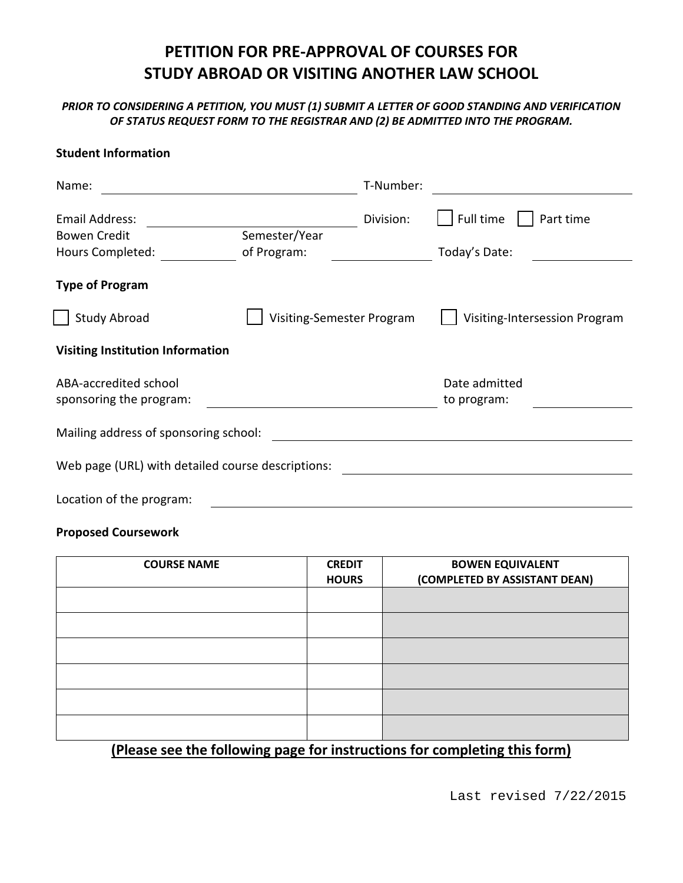# **PETITION FOR PRE-APPROVAL OF COURSES FOR STUDY ABROAD OR VISITING ANOTHER LAW SCHOOL**

*PRIOR TO CONSIDERING A PETITION, YOU MUST (1) SUBMIT A LETTER OF GOOD STANDING AND VERIFICATION OF STATUS REQUEST FORM TO THE REGISTRAR AND (2) BE ADMITTED INTO THE PROGRAM.*

#### **Student Information**

| Name:                                             |                           | T-Number: |                               |  |  |
|---------------------------------------------------|---------------------------|-----------|-------------------------------|--|--|
| <b>Email Address:</b>                             |                           | Division: | Full time<br>Part time        |  |  |
| <b>Bowen Credit</b>                               | Semester/Year             |           |                               |  |  |
| Hours Completed:                                  | of Program:               |           | Today's Date:                 |  |  |
| <b>Type of Program</b>                            |                           |           |                               |  |  |
| <b>Study Abroad</b>                               | Visiting-Semester Program |           | Visiting-Intersession Program |  |  |
| <b>Visiting Institution Information</b>           |                           |           |                               |  |  |
| ABA-accredited school                             |                           |           | Date admitted                 |  |  |
| sponsoring the program:                           |                           |           | to program:                   |  |  |
| Mailing address of sponsoring school:             |                           |           |                               |  |  |
| Web page (URL) with detailed course descriptions: |                           |           |                               |  |  |
| Location of the program:                          |                           |           |                               |  |  |

#### **Proposed Coursework**

| <b>COURSE NAME</b>                                                        | <b>CREDIT</b><br><b>HOURS</b> | <b>BOWEN EQUIVALENT</b><br>(COMPLETED BY ASSISTANT DEAN) |  |  |
|---------------------------------------------------------------------------|-------------------------------|----------------------------------------------------------|--|--|
|                                                                           |                               |                                                          |  |  |
|                                                                           |                               |                                                          |  |  |
|                                                                           |                               |                                                          |  |  |
|                                                                           |                               |                                                          |  |  |
|                                                                           |                               |                                                          |  |  |
|                                                                           |                               |                                                          |  |  |
| (Please see the following page for instructions for completing this form) |                               |                                                          |  |  |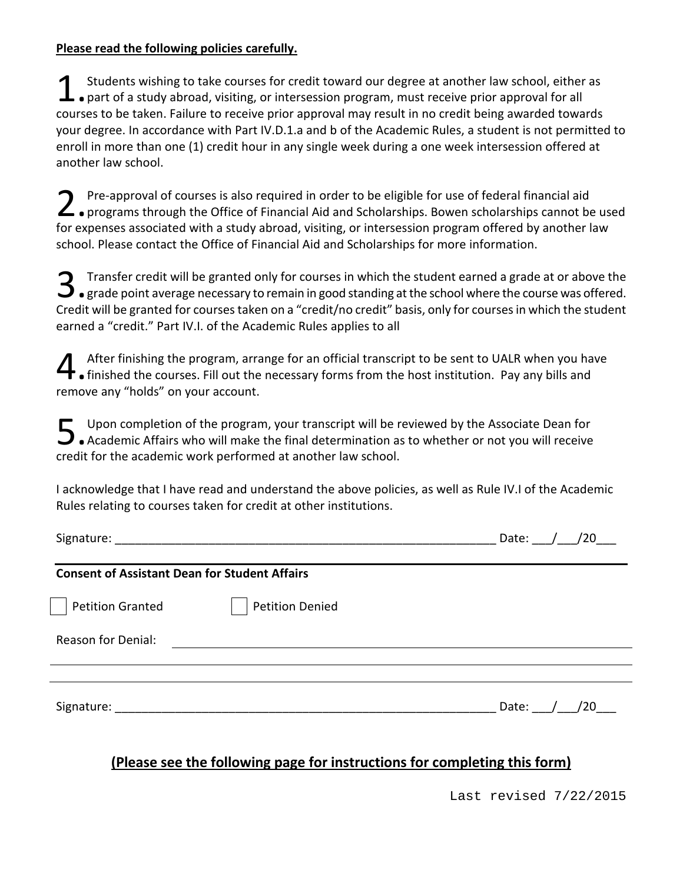#### **Please read the following policies carefully.**

Students wishing to take courses for credit toward our degree at another law school, either as Students wishing to take courses for credit toward our degree at another law school, either<br>
• part of a study abroad, visiting, or intersession program, must receive prior approval for all<br>
1. The contract of a study of t courses to be taken. Failure to receive prior approval may result in no credit being awarded towards your degree. In accordance with Part IV.D.1.a and b of the Academic Rules, a student is not permitted to enroll in more than one (1) credit hour in any single week during a one week intersession offered at another law school.

Pre-approval of courses is also required in order to be eligible for use of federal financial aid **2** Pre-approval of courses is also required in order to be eligible for use of federal financial aid<br>
• programs through the Office of Financial Aid and Scholarships. Bowen scholarships cannot be used for expenses associated with a study abroad, visiting, or intersession program offered by another law school. Please contact the Office of Financial Aid and Scholarships for more information.

Transfer credit will be granted only for courses in which the student earned a grade at or above the **3** Transfer credit will be granted only for courses in which the student earned a grade at or above the **standing** at the school where the course was offered. Credit will be granted for courses taken on a "credit/no credit" basis, only for courses in which the student earned a "credit." Part IV.I. of the Academic Rules applies to all

After finishing the program, arrange for an official transcript to be sent to UALR when you have After finishing the program, arrange for an official transcript to be sent to UALR when you ha<br>
• finished the courses. Fill out the necessary forms from the host institution. Pay any bills and<br>
" remove any "holds" on your account.

Upon completion of the program, your transcript will be reviewed by the Associate Dean for Upon completion of the program, your transcript will be reviewed by the Associate Dean for<br>• Academic Affairs who will make the final determination as to whether or not you will receive credit for the academic work performed at another law school.

I acknowledge that I have read and understand the above policies, as well as Rule IV.I of the Academic Rules relating to courses taken for credit at other institutions.

| Signature:                                           |                        | /20<br>Date: |
|------------------------------------------------------|------------------------|--------------|
| <b>Consent of Assistant Dean for Student Affairs</b> |                        |              |
| Petition Granted                                     | <b>Petition Denied</b> |              |
| <b>Reason for Denial:</b>                            |                        |              |
|                                                      |                        |              |
| Signature:                                           |                        | Date: / /20  |

## **(Please see the following page for instructions for completing this form)**

Last revised 7/22/2015